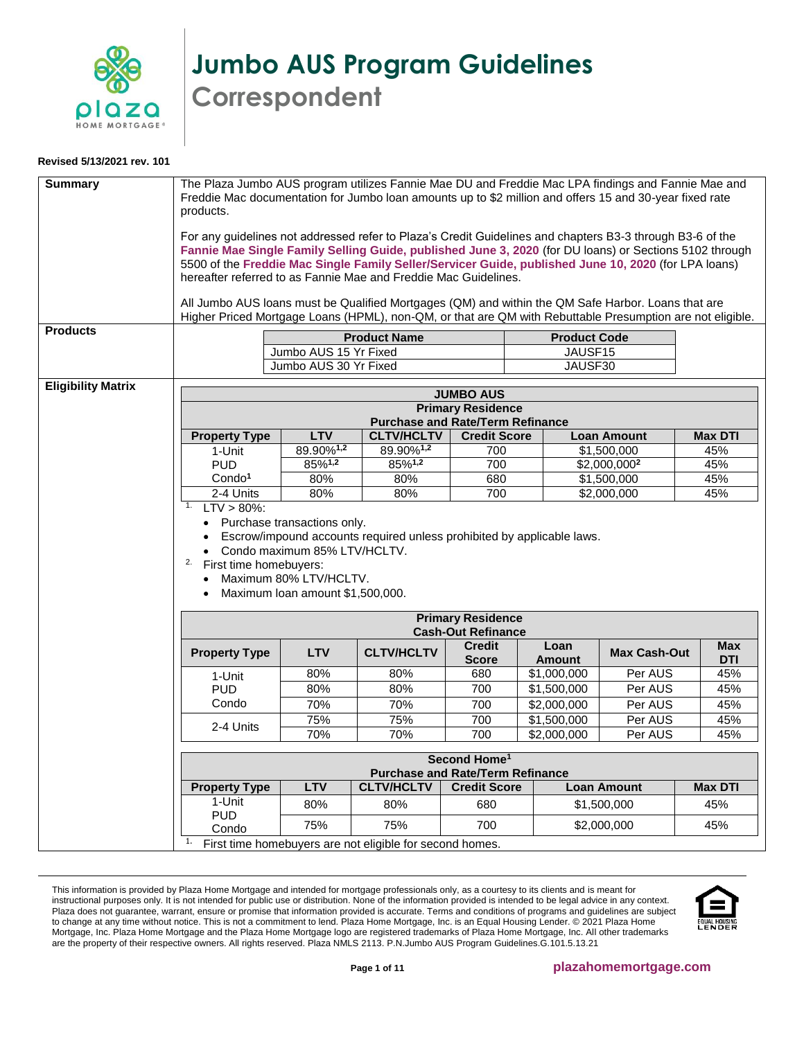

**Jumbo AUS Program Guidelines Correspondent**

## **Revised 5/13/2021 rev. 101**

<span id="page-0-0"></span>

| Jumbo AUS 30 Yr Fixed<br>JAUSF30<br><b>Eligibility Matrix</b><br><b>JUMBO AUS</b><br><b>Primary Residence</b><br><b>Purchase and Rate/Term Refinance</b><br><b>LTV</b><br><b>CLTV/HCLTV</b><br><b>Credit Score</b><br><b>Loan Amount</b><br><b>Property Type</b><br><b>Max DTI</b><br>89.90%1,2<br>89.90% <sup>1,2</sup><br>700<br>\$1,500,000<br>45%<br>1-Unit<br>$85\%$ <sup>1,2</sup><br>85%1,2<br><b>PUD</b><br>700<br>$$2,000,000^2$<br>45%<br>Condo <sup>1</sup><br>80%<br>680<br>\$1,500,000<br>45%<br>80%<br>$\sqrt{$2,000,000}$<br>2-4 Units<br>80%<br>80%<br>700<br>45%<br>$LTV > 80\%$ :<br>1.<br>• Purchase transactions only.<br>Escrow/impound accounts required unless prohibited by applicable laws.<br>• Condo maximum 85% LTV/HCLTV.<br>2.<br>First time homebuyers:<br>Maximum 80% LTV/HCLTV.<br>Maximum Ioan amount \$1,500,000.<br>$\bullet$<br><b>Primary Residence</b><br><b>Cash-Out Refinance</b><br><b>Credit</b><br>Loan<br><b>Max</b><br><b>CLTV/HCLTV</b><br><b>Property Type</b><br><b>LTV</b><br><b>Max Cash-Out</b><br><b>Score</b><br><b>Amount</b><br><b>DTI</b><br>80%<br>80%<br>680<br>\$1,000,000<br>Per AUS<br>45%<br>1-Unit<br>80%<br>80%<br>700<br>\$1,500,000<br>Per AUS<br>45%<br><b>PUD</b><br>Condo<br>70%<br>70%<br>700<br>\$2,000,000<br>Per AUS<br>45%<br>\$1,500,000<br>Per AUS<br>75%<br>75%<br>700<br>45%<br>2-4 Units<br>70%<br>70%<br>700<br>\$2,000,000<br>Per AUS<br>45%<br>Second Home <sup>1</sup><br><b>Purchase and Rate/Term Refinance</b><br><b>LTV</b><br><b>CLTV/HCLTV</b><br><b>Credit Score</b><br><b>Loan Amount</b><br><b>Max DTI</b><br><b>Property Type</b><br>1-Unit<br>80%<br>80%<br>680<br>\$1,500,000<br>45%<br><b>PUD</b><br>75%<br>75%<br>700<br>45%<br>\$2,000,000<br>Condo<br>First time homebuyers are not eligible for second homes. | <b>Summary</b><br><b>Products</b> | The Plaza Jumbo AUS program utilizes Fannie Mae DU and Freddie Mac LPA findings and Fannie Mae and<br>Freddie Mac documentation for Jumbo loan amounts up to \$2 million and offers 15 and 30-year fixed rate<br>products.<br>For any guidelines not addressed refer to Plaza's Credit Guidelines and chapters B3-3 through B3-6 of the<br>Fannie Mae Single Family Selling Guide, published June 3, 2020 (for DU loans) or Sections 5102 through<br>5500 of the Freddie Mac Single Family Seller/Servicer Guide, published June 10, 2020 (for LPA loans)<br>hereafter referred to as Fannie Mae and Freddie Mac Guidelines.<br>All Jumbo AUS loans must be Qualified Mortgages (QM) and within the QM Safe Harbor. Loans that are<br>Higher Priced Mortgage Loans (HPML), non-QM, or that are QM with Rebuttable Presumption are not eligible. | Jumbo AUS 15 Yr Fixed | <b>Product Name</b> | <b>Product Code</b><br>JAUSF15 |  |
|--------------------------------------------------------------------------------------------------------------------------------------------------------------------------------------------------------------------------------------------------------------------------------------------------------------------------------------------------------------------------------------------------------------------------------------------------------------------------------------------------------------------------------------------------------------------------------------------------------------------------------------------------------------------------------------------------------------------------------------------------------------------------------------------------------------------------------------------------------------------------------------------------------------------------------------------------------------------------------------------------------------------------------------------------------------------------------------------------------------------------------------------------------------------------------------------------------------------------------------------------------------------------------------------------------------------------------------------------------------------------------------------------------------------------------------------------------------------------------------------------------------------------------------------------------------------------------------------------------------------------------------------------------------------------------------------------------------------------------------------------------------------------------------------------------------------|-----------------------------------|-------------------------------------------------------------------------------------------------------------------------------------------------------------------------------------------------------------------------------------------------------------------------------------------------------------------------------------------------------------------------------------------------------------------------------------------------------------------------------------------------------------------------------------------------------------------------------------------------------------------------------------------------------------------------------------------------------------------------------------------------------------------------------------------------------------------------------------------------|-----------------------|---------------------|--------------------------------|--|
|                                                                                                                                                                                                                                                                                                                                                                                                                                                                                                                                                                                                                                                                                                                                                                                                                                                                                                                                                                                                                                                                                                                                                                                                                                                                                                                                                                                                                                                                                                                                                                                                                                                                                                                                                                                                                    |                                   |                                                                                                                                                                                                                                                                                                                                                                                                                                                                                                                                                                                                                                                                                                                                                                                                                                                 |                       |                     |                                |  |
|                                                                                                                                                                                                                                                                                                                                                                                                                                                                                                                                                                                                                                                                                                                                                                                                                                                                                                                                                                                                                                                                                                                                                                                                                                                                                                                                                                                                                                                                                                                                                                                                                                                                                                                                                                                                                    |                                   |                                                                                                                                                                                                                                                                                                                                                                                                                                                                                                                                                                                                                                                                                                                                                                                                                                                 |                       |                     |                                |  |
|                                                                                                                                                                                                                                                                                                                                                                                                                                                                                                                                                                                                                                                                                                                                                                                                                                                                                                                                                                                                                                                                                                                                                                                                                                                                                                                                                                                                                                                                                                                                                                                                                                                                                                                                                                                                                    |                                   |                                                                                                                                                                                                                                                                                                                                                                                                                                                                                                                                                                                                                                                                                                                                                                                                                                                 |                       |                     |                                |  |
|                                                                                                                                                                                                                                                                                                                                                                                                                                                                                                                                                                                                                                                                                                                                                                                                                                                                                                                                                                                                                                                                                                                                                                                                                                                                                                                                                                                                                                                                                                                                                                                                                                                                                                                                                                                                                    |                                   |                                                                                                                                                                                                                                                                                                                                                                                                                                                                                                                                                                                                                                                                                                                                                                                                                                                 |                       |                     |                                |  |
|                                                                                                                                                                                                                                                                                                                                                                                                                                                                                                                                                                                                                                                                                                                                                                                                                                                                                                                                                                                                                                                                                                                                                                                                                                                                                                                                                                                                                                                                                                                                                                                                                                                                                                                                                                                                                    |                                   |                                                                                                                                                                                                                                                                                                                                                                                                                                                                                                                                                                                                                                                                                                                                                                                                                                                 |                       |                     |                                |  |
|                                                                                                                                                                                                                                                                                                                                                                                                                                                                                                                                                                                                                                                                                                                                                                                                                                                                                                                                                                                                                                                                                                                                                                                                                                                                                                                                                                                                                                                                                                                                                                                                                                                                                                                                                                                                                    |                                   |                                                                                                                                                                                                                                                                                                                                                                                                                                                                                                                                                                                                                                                                                                                                                                                                                                                 |                       |                     |                                |  |
|                                                                                                                                                                                                                                                                                                                                                                                                                                                                                                                                                                                                                                                                                                                                                                                                                                                                                                                                                                                                                                                                                                                                                                                                                                                                                                                                                                                                                                                                                                                                                                                                                                                                                                                                                                                                                    |                                   |                                                                                                                                                                                                                                                                                                                                                                                                                                                                                                                                                                                                                                                                                                                                                                                                                                                 |                       |                     |                                |  |
|                                                                                                                                                                                                                                                                                                                                                                                                                                                                                                                                                                                                                                                                                                                                                                                                                                                                                                                                                                                                                                                                                                                                                                                                                                                                                                                                                                                                                                                                                                                                                                                                                                                                                                                                                                                                                    |                                   |                                                                                                                                                                                                                                                                                                                                                                                                                                                                                                                                                                                                                                                                                                                                                                                                                                                 |                       |                     |                                |  |
|                                                                                                                                                                                                                                                                                                                                                                                                                                                                                                                                                                                                                                                                                                                                                                                                                                                                                                                                                                                                                                                                                                                                                                                                                                                                                                                                                                                                                                                                                                                                                                                                                                                                                                                                                                                                                    |                                   |                                                                                                                                                                                                                                                                                                                                                                                                                                                                                                                                                                                                                                                                                                                                                                                                                                                 |                       |                     |                                |  |
|                                                                                                                                                                                                                                                                                                                                                                                                                                                                                                                                                                                                                                                                                                                                                                                                                                                                                                                                                                                                                                                                                                                                                                                                                                                                                                                                                                                                                                                                                                                                                                                                                                                                                                                                                                                                                    |                                   |                                                                                                                                                                                                                                                                                                                                                                                                                                                                                                                                                                                                                                                                                                                                                                                                                                                 |                       |                     |                                |  |
|                                                                                                                                                                                                                                                                                                                                                                                                                                                                                                                                                                                                                                                                                                                                                                                                                                                                                                                                                                                                                                                                                                                                                                                                                                                                                                                                                                                                                                                                                                                                                                                                                                                                                                                                                                                                                    |                                   |                                                                                                                                                                                                                                                                                                                                                                                                                                                                                                                                                                                                                                                                                                                                                                                                                                                 |                       |                     |                                |  |
|                                                                                                                                                                                                                                                                                                                                                                                                                                                                                                                                                                                                                                                                                                                                                                                                                                                                                                                                                                                                                                                                                                                                                                                                                                                                                                                                                                                                                                                                                                                                                                                                                                                                                                                                                                                                                    |                                   |                                                                                                                                                                                                                                                                                                                                                                                                                                                                                                                                                                                                                                                                                                                                                                                                                                                 |                       |                     |                                |  |
|                                                                                                                                                                                                                                                                                                                                                                                                                                                                                                                                                                                                                                                                                                                                                                                                                                                                                                                                                                                                                                                                                                                                                                                                                                                                                                                                                                                                                                                                                                                                                                                                                                                                                                                                                                                                                    |                                   |                                                                                                                                                                                                                                                                                                                                                                                                                                                                                                                                                                                                                                                                                                                                                                                                                                                 |                       |                     |                                |  |
|                                                                                                                                                                                                                                                                                                                                                                                                                                                                                                                                                                                                                                                                                                                                                                                                                                                                                                                                                                                                                                                                                                                                                                                                                                                                                                                                                                                                                                                                                                                                                                                                                                                                                                                                                                                                                    |                                   |                                                                                                                                                                                                                                                                                                                                                                                                                                                                                                                                                                                                                                                                                                                                                                                                                                                 |                       |                     |                                |  |
|                                                                                                                                                                                                                                                                                                                                                                                                                                                                                                                                                                                                                                                                                                                                                                                                                                                                                                                                                                                                                                                                                                                                                                                                                                                                                                                                                                                                                                                                                                                                                                                                                                                                                                                                                                                                                    |                                   |                                                                                                                                                                                                                                                                                                                                                                                                                                                                                                                                                                                                                                                                                                                                                                                                                                                 |                       |                     |                                |  |
|                                                                                                                                                                                                                                                                                                                                                                                                                                                                                                                                                                                                                                                                                                                                                                                                                                                                                                                                                                                                                                                                                                                                                                                                                                                                                                                                                                                                                                                                                                                                                                                                                                                                                                                                                                                                                    |                                   |                                                                                                                                                                                                                                                                                                                                                                                                                                                                                                                                                                                                                                                                                                                                                                                                                                                 |                       |                     |                                |  |
|                                                                                                                                                                                                                                                                                                                                                                                                                                                                                                                                                                                                                                                                                                                                                                                                                                                                                                                                                                                                                                                                                                                                                                                                                                                                                                                                                                                                                                                                                                                                                                                                                                                                                                                                                                                                                    |                                   |                                                                                                                                                                                                                                                                                                                                                                                                                                                                                                                                                                                                                                                                                                                                                                                                                                                 |                       |                     |                                |  |
|                                                                                                                                                                                                                                                                                                                                                                                                                                                                                                                                                                                                                                                                                                                                                                                                                                                                                                                                                                                                                                                                                                                                                                                                                                                                                                                                                                                                                                                                                                                                                                                                                                                                                                                                                                                                                    |                                   | 1.                                                                                                                                                                                                                                                                                                                                                                                                                                                                                                                                                                                                                                                                                                                                                                                                                                              |                       |                     |                                |  |

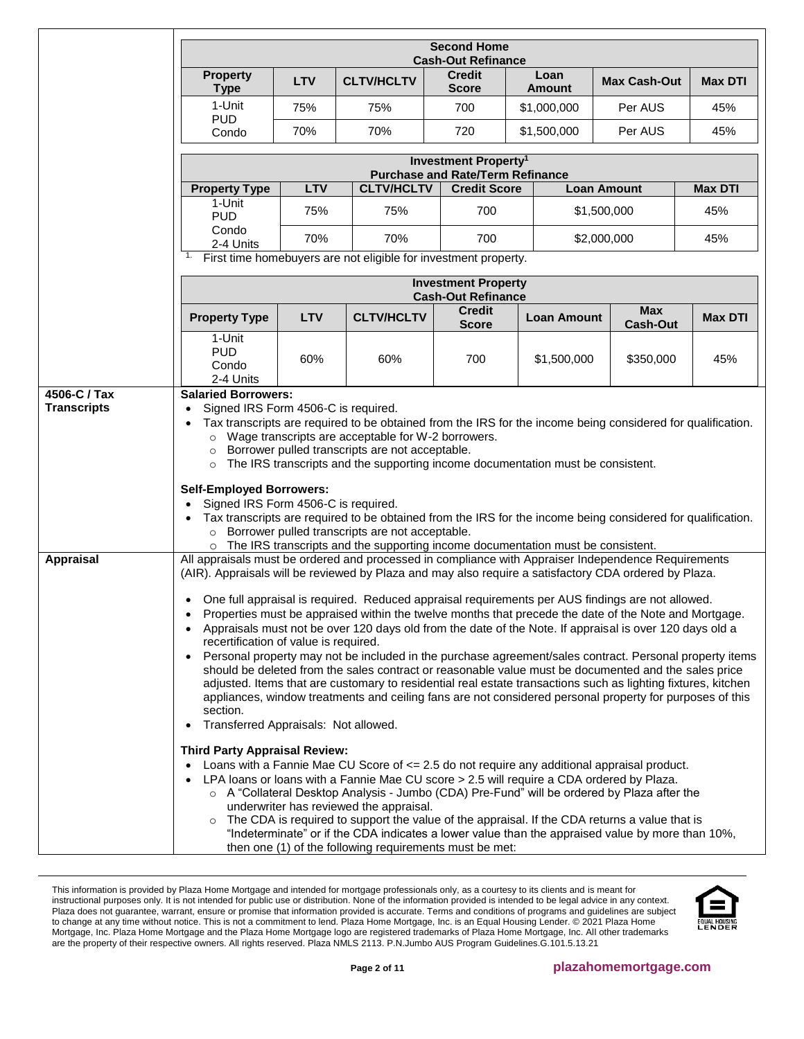|                  |                                                                                                                    | <b>Second Home</b><br><b>Cash-Out Refinance</b>                                                                                                                                                                                                                                                                                                                                                                                                                                                                                                                                                                                                                                                                                                                                                                                                                                                                                                                                                                                                                                                                                                                                                                                                                                                                                                                                                                                                                                                                                       |                                                                                                                                                                                                                                                                                                                                                                                                                                                                           |                                                                             |  |                       |                               |                |
|------------------|--------------------------------------------------------------------------------------------------------------------|---------------------------------------------------------------------------------------------------------------------------------------------------------------------------------------------------------------------------------------------------------------------------------------------------------------------------------------------------------------------------------------------------------------------------------------------------------------------------------------------------------------------------------------------------------------------------------------------------------------------------------------------------------------------------------------------------------------------------------------------------------------------------------------------------------------------------------------------------------------------------------------------------------------------------------------------------------------------------------------------------------------------------------------------------------------------------------------------------------------------------------------------------------------------------------------------------------------------------------------------------------------------------------------------------------------------------------------------------------------------------------------------------------------------------------------------------------------------------------------------------------------------------------------|---------------------------------------------------------------------------------------------------------------------------------------------------------------------------------------------------------------------------------------------------------------------------------------------------------------------------------------------------------------------------------------------------------------------------------------------------------------------------|-----------------------------------------------------------------------------|--|-----------------------|-------------------------------|----------------|
|                  | <b>Property</b><br><b>Type</b>                                                                                     | <b>LTV</b>                                                                                                                                                                                                                                                                                                                                                                                                                                                                                                                                                                                                                                                                                                                                                                                                                                                                                                                                                                                                                                                                                                                                                                                                                                                                                                                                                                                                                                                                                                                            | <b>CLTV/HCLTV</b>                                                                                                                                                                                                                                                                                                                                                                                                                                                         | <b>Credit</b><br><b>Score</b>                                               |  | Loan<br><b>Amount</b> | <b>Max Cash-Out</b>           | <b>Max DTI</b> |
|                  | 1-Unit                                                                                                             | 75%                                                                                                                                                                                                                                                                                                                                                                                                                                                                                                                                                                                                                                                                                                                                                                                                                                                                                                                                                                                                                                                                                                                                                                                                                                                                                                                                                                                                                                                                                                                                   | 75%                                                                                                                                                                                                                                                                                                                                                                                                                                                                       | 700                                                                         |  | \$1,000,000           | Per AUS                       | 45%            |
|                  | <b>PUD</b><br>Condo                                                                                                | 70%                                                                                                                                                                                                                                                                                                                                                                                                                                                                                                                                                                                                                                                                                                                                                                                                                                                                                                                                                                                                                                                                                                                                                                                                                                                                                                                                                                                                                                                                                                                                   | 70%                                                                                                                                                                                                                                                                                                                                                                                                                                                                       | 720                                                                         |  | \$1,500,000           | Per AUS                       | 45%            |
|                  |                                                                                                                    |                                                                                                                                                                                                                                                                                                                                                                                                                                                                                                                                                                                                                                                                                                                                                                                                                                                                                                                                                                                                                                                                                                                                                                                                                                                                                                                                                                                                                                                                                                                                       |                                                                                                                                                                                                                                                                                                                                                                                                                                                                           | Investment Property <sup>1</sup><br><b>Purchase and Rate/Term Refinance</b> |  |                       |                               |                |
|                  | <b>Property Type</b>                                                                                               | <b>LTV</b>                                                                                                                                                                                                                                                                                                                                                                                                                                                                                                                                                                                                                                                                                                                                                                                                                                                                                                                                                                                                                                                                                                                                                                                                                                                                                                                                                                                                                                                                                                                            | <b>CLTV/HCLTV</b>                                                                                                                                                                                                                                                                                                                                                                                                                                                         | <b>Credit Score</b>                                                         |  |                       | <b>Loan Amount</b>            | <b>Max DTI</b> |
|                  | 1-Unit<br><b>PUD</b>                                                                                               | 75%                                                                                                                                                                                                                                                                                                                                                                                                                                                                                                                                                                                                                                                                                                                                                                                                                                                                                                                                                                                                                                                                                                                                                                                                                                                                                                                                                                                                                                                                                                                                   | 75%                                                                                                                                                                                                                                                                                                                                                                                                                                                                       | 700                                                                         |  |                       | \$1,500,000                   | 45%            |
|                  | Condo<br>2-4 Units                                                                                                 | 70%                                                                                                                                                                                                                                                                                                                                                                                                                                                                                                                                                                                                                                                                                                                                                                                                                                                                                                                                                                                                                                                                                                                                                                                                                                                                                                                                                                                                                                                                                                                                   | 70%                                                                                                                                                                                                                                                                                                                                                                                                                                                                       | 700                                                                         |  |                       | \$2,000,000                   | 45%            |
|                  |                                                                                                                    |                                                                                                                                                                                                                                                                                                                                                                                                                                                                                                                                                                                                                                                                                                                                                                                                                                                                                                                                                                                                                                                                                                                                                                                                                                                                                                                                                                                                                                                                                                                                       | First time homebuyers are not eligible for investment property.                                                                                                                                                                                                                                                                                                                                                                                                           |                                                                             |  |                       |                               |                |
|                  |                                                                                                                    |                                                                                                                                                                                                                                                                                                                                                                                                                                                                                                                                                                                                                                                                                                                                                                                                                                                                                                                                                                                                                                                                                                                                                                                                                                                                                                                                                                                                                                                                                                                                       |                                                                                                                                                                                                                                                                                                                                                                                                                                                                           | <b>Investment Property</b><br><b>Cash-Out Refinance</b>                     |  |                       |                               |                |
|                  | <b>Property Type</b>                                                                                               | <b>LTV</b>                                                                                                                                                                                                                                                                                                                                                                                                                                                                                                                                                                                                                                                                                                                                                                                                                                                                                                                                                                                                                                                                                                                                                                                                                                                                                                                                                                                                                                                                                                                            | <b>CLTV/HCLTV</b>                                                                                                                                                                                                                                                                                                                                                                                                                                                         | <b>Credit</b><br><b>Score</b>                                               |  | <b>Loan Amount</b>    | <b>Max</b><br><b>Cash-Out</b> | <b>Max DTI</b> |
|                  | 1-Unit<br><b>PUD</b><br>Condo<br>2-4 Units                                                                         | 60%                                                                                                                                                                                                                                                                                                                                                                                                                                                                                                                                                                                                                                                                                                                                                                                                                                                                                                                                                                                                                                                                                                                                                                                                                                                                                                                                                                                                                                                                                                                                   | 60%                                                                                                                                                                                                                                                                                                                                                                                                                                                                       | 700                                                                         |  | \$1,500,000           | \$350,000                     | 45%            |
|                  | $\circ$<br>$\circ$<br>$\circ$<br><b>Self-Employed Borrowers:</b><br>Signed IRS Form 4506-C is required.<br>$\circ$ |                                                                                                                                                                                                                                                                                                                                                                                                                                                                                                                                                                                                                                                                                                                                                                                                                                                                                                                                                                                                                                                                                                                                                                                                                                                                                                                                                                                                                                                                                                                                       | Tax transcripts are required to be obtained from the IRS for the income being considered for qualification.<br>Wage transcripts are acceptable for W-2 borrowers.<br>Borrower pulled transcripts are not acceptable.<br>The IRS transcripts and the supporting income documentation must be consistent.<br>Tax transcripts are required to be obtained from the IRS for the income being considered for qualification.<br>Borrower pulled transcripts are not acceptable. |                                                                             |  |                       |                               |                |
| <b>Appraisal</b> | $\bullet$<br>$\bullet$<br>section.<br>$\bullet$                                                                    | The IRS transcripts and the supporting income documentation must be consistent.<br>All appraisals must be ordered and processed in compliance with Appraiser Independence Requirements<br>(AIR). Appraisals will be reviewed by Plaza and may also require a satisfactory CDA ordered by Plaza.<br>One full appraisal is required. Reduced appraisal requirements per AUS findings are not allowed.<br>Properties must be appraised within the twelve months that precede the date of the Note and Mortgage.<br>Appraisals must not be over 120 days old from the date of the Note. If appraisal is over 120 days old a<br>recertification of value is required.<br>Personal property may not be included in the purchase agreement/sales contract. Personal property items<br>should be deleted from the sales contract or reasonable value must be documented and the sales price<br>adjusted. Items that are customary to residential real estate transactions such as lighting fixtures, kitchen<br>appliances, window treatments and ceiling fans are not considered personal property for purposes of this<br>Transferred Appraisals: Not allowed.<br><b>Third Party Appraisal Review:</b><br>Loans with a Fannie Mae CU Score of <= 2.5 do not require any additional appraisal product.<br>LPA loans or loans with a Fannie Mae CU score > 2.5 will require a CDA ordered by Plaza.<br>○ A "Collateral Desktop Analysis - Jumbo (CDA) Pre-Fund" will be ordered by Plaza after the<br>underwriter has reviewed the appraisal. |                                                                                                                                                                                                                                                                                                                                                                                                                                                                           |                                                                             |  |                       |                               |                |
|                  | $\circ$                                                                                                            |                                                                                                                                                                                                                                                                                                                                                                                                                                                                                                                                                                                                                                                                                                                                                                                                                                                                                                                                                                                                                                                                                                                                                                                                                                                                                                                                                                                                                                                                                                                                       | The CDA is required to support the value of the appraisal. If the CDA returns a value that is<br>"Indeterminate" or if the CDA indicates a lower value than the appraised value by more than 10%,<br>then one (1) of the following requirements must be met:                                                                                                                                                                                                              |                                                                             |  |                       |                               |                |

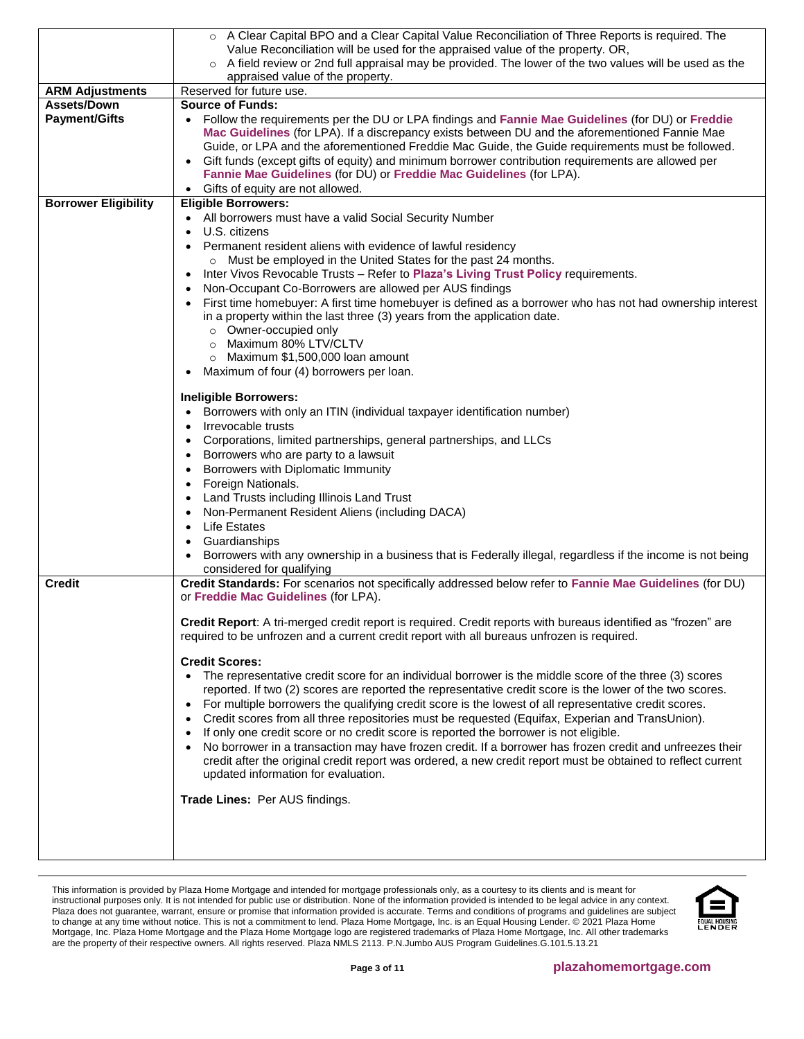|                             | o A Clear Capital BPO and a Clear Capital Value Reconciliation of Three Reports is required. The                                            |
|-----------------------------|---------------------------------------------------------------------------------------------------------------------------------------------|
|                             | Value Reconciliation will be used for the appraised value of the property. OR,                                                              |
|                             | ○ A field review or 2nd full appraisal may be provided. The lower of the two values will be used as the<br>appraised value of the property. |
| <b>ARM Adjustments</b>      | Reserved for future use.                                                                                                                    |
| Assets/Down                 | <b>Source of Funds:</b>                                                                                                                     |
| <b>Payment/Gifts</b>        | • Follow the requirements per the DU or LPA findings and Fannie Mae Guidelines (for DU) or Freddie                                          |
|                             | Mac Guidelines (for LPA). If a discrepancy exists between DU and the aforementioned Fannie Mae                                              |
|                             | Guide, or LPA and the aforementioned Freddie Mac Guide, the Guide requirements must be followed.                                            |
|                             | Gift funds (except gifts of equity) and minimum borrower contribution requirements are allowed per<br>$\bullet$                             |
|                             | Fannie Mae Guidelines (for DU) or Freddie Mac Guidelines (for LPA).                                                                         |
|                             | Gifts of equity are not allowed.<br>$\bullet$                                                                                               |
| <b>Borrower Eligibility</b> | <b>Eligible Borrowers:</b>                                                                                                                  |
|                             | All borrowers must have a valid Social Security Number                                                                                      |
|                             | U.S. citizens<br>$\bullet$                                                                                                                  |
|                             | Permanent resident aliens with evidence of lawful residency                                                                                 |
|                             | o Must be employed in the United States for the past 24 months.                                                                             |
|                             | Inter Vivos Revocable Trusts - Refer to Plaza's Living Trust Policy requirements.<br>$\bullet$                                              |
|                             | Non-Occupant Co-Borrowers are allowed per AUS findings<br>$\bullet$                                                                         |
|                             | First time homebuyer: A first time homebuyer is defined as a borrower who has not had ownership interest<br>$\bullet$                       |
|                             | in a property within the last three (3) years from the application date.                                                                    |
|                             | o Owner-occupied only                                                                                                                       |
|                             | o Maximum 80% LTV/CLTV                                                                                                                      |
|                             | $\circ$ Maximum \$1,500,000 loan amount                                                                                                     |
|                             | Maximum of four (4) borrowers per loan.                                                                                                     |
|                             | <b>Ineligible Borrowers:</b>                                                                                                                |
|                             | Borrowers with only an ITIN (individual taxpayer identification number)                                                                     |
|                             | Irrevocable trusts<br>$\bullet$                                                                                                             |
|                             | Corporations, limited partnerships, general partnerships, and LLCs<br>$\bullet$                                                             |
|                             | Borrowers who are party to a lawsuit<br>$\bullet$                                                                                           |
|                             | Borrowers with Diplomatic Immunity<br>$\bullet$                                                                                             |
|                             | Foreign Nationals.<br>$\bullet$                                                                                                             |
|                             | Land Trusts including Illinois Land Trust<br>$\bullet$                                                                                      |
|                             | Non-Permanent Resident Aliens (including DACA)<br>$\bullet$                                                                                 |
|                             | Life Estates<br>$\bullet$                                                                                                                   |
|                             | Guardianships<br>$\bullet$                                                                                                                  |
|                             | Borrowers with any ownership in a business that is Federally illegal, regardless if the income is not being<br>$\bullet$                    |
|                             | considered for qualifying                                                                                                                   |
| Credit                      | Credit Standards: For scenarios not specifically addressed below refer to Fannie Mae Guidelines (for DU)                                    |
|                             | or Freddie Mac Guidelines (for LPA).                                                                                                        |
|                             |                                                                                                                                             |
|                             | Credit Report: A tri-merged credit report is required. Credit reports with bureaus identified as "frozen" are                               |
|                             | required to be unfrozen and a current credit report with all bureaus unfrozen is required.                                                  |
|                             | <b>Credit Scores:</b>                                                                                                                       |
|                             | The representative credit score for an individual borrower is the middle score of the three (3) scores<br>$\bullet$                         |
|                             | reported. If two (2) scores are reported the representative credit score is the lower of the two scores.                                    |
|                             | For multiple borrowers the qualifying credit score is the lowest of all representative credit scores.<br>$\bullet$                          |
|                             | Credit scores from all three repositories must be requested (Equifax, Experian and TransUnion).<br>$\bullet$                                |
|                             | If only one credit score or no credit score is reported the borrower is not eligible.<br>$\bullet$                                          |
|                             | No borrower in a transaction may have frozen credit. If a borrower has frozen credit and unfreezes their<br>$\bullet$                       |
|                             | credit after the original credit report was ordered, a new credit report must be obtained to reflect current                                |
|                             | updated information for evaluation.                                                                                                         |
|                             |                                                                                                                                             |
|                             | Trade Lines: Per AUS findings.                                                                                                              |
|                             |                                                                                                                                             |
|                             |                                                                                                                                             |
|                             |                                                                                                                                             |
|                             |                                                                                                                                             |

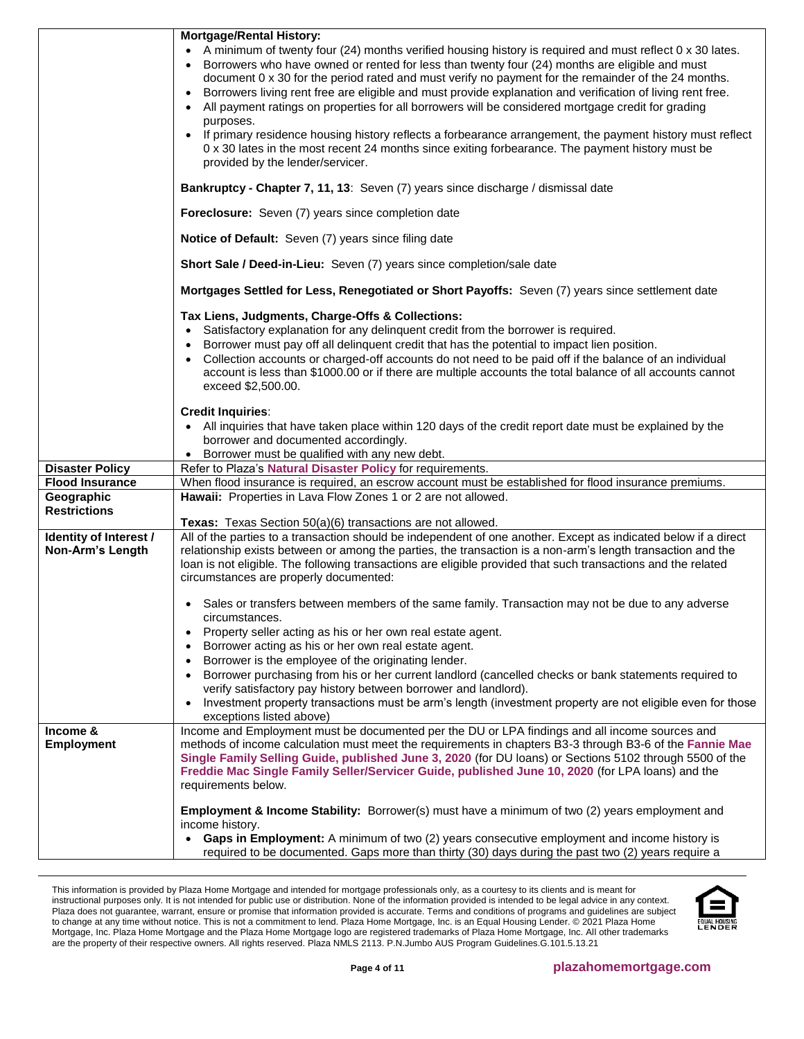|                               | <b>Mortgage/Rental History:</b><br>A minimum of twenty four (24) months verified housing history is required and must reflect 0 x 30 lates.                                                                                                                                                                                                                                                                                                                                                                              |
|-------------------------------|--------------------------------------------------------------------------------------------------------------------------------------------------------------------------------------------------------------------------------------------------------------------------------------------------------------------------------------------------------------------------------------------------------------------------------------------------------------------------------------------------------------------------|
|                               | Borrowers who have owned or rented for less than twenty four (24) months are eligible and must<br>document 0 x 30 for the period rated and must verify no payment for the remainder of the 24 months.<br>Borrowers living rent free are eligible and must provide explanation and verification of living rent free.<br>$\bullet$<br>All payment ratings on properties for all borrowers will be considered mortgage credit for grading<br>$\bullet$                                                                      |
|                               | purposes.<br>If primary residence housing history reflects a forbearance arrangement, the payment history must reflect<br>0 x 30 lates in the most recent 24 months since exiting forbearance. The payment history must be<br>provided by the lender/servicer.                                                                                                                                                                                                                                                           |
|                               | Bankruptcy - Chapter 7, 11, 13: Seven (7) years since discharge / dismissal date                                                                                                                                                                                                                                                                                                                                                                                                                                         |
|                               | Foreclosure: Seven (7) years since completion date                                                                                                                                                                                                                                                                                                                                                                                                                                                                       |
|                               | Notice of Default: Seven (7) years since filing date                                                                                                                                                                                                                                                                                                                                                                                                                                                                     |
|                               | Short Sale / Deed-in-Lieu: Seven (7) years since completion/sale date                                                                                                                                                                                                                                                                                                                                                                                                                                                    |
|                               | Mortgages Settled for Less, Renegotiated or Short Payoffs: Seven (7) years since settlement date                                                                                                                                                                                                                                                                                                                                                                                                                         |
|                               | Tax Liens, Judgments, Charge-Offs & Collections:<br>Satisfactory explanation for any delinquent credit from the borrower is required.<br>$\bullet$<br>Borrower must pay off all delinquent credit that has the potential to impact lien position.<br>$\bullet$<br>Collection accounts or charged-off accounts do not need to be paid off if the balance of an individual<br>$\bullet$<br>account is less than \$1000.00 or if there are multiple accounts the total balance of all accounts cannot<br>exceed \$2,500.00. |
|                               | <b>Credit Inquiries:</b><br>• All inquiries that have taken place within 120 days of the credit report date must be explained by the<br>borrower and documented accordingly.<br>Borrower must be qualified with any new debt.                                                                                                                                                                                                                                                                                            |
| <b>Disaster Policy</b>        | Refer to Plaza's Natural Disaster Policy for requirements.                                                                                                                                                                                                                                                                                                                                                                                                                                                               |
| <b>Flood Insurance</b>        | When flood insurance is required, an escrow account must be established for flood insurance premiums.                                                                                                                                                                                                                                                                                                                                                                                                                    |
| Geographic                    | Hawaii: Properties in Lava Flow Zones 1 or 2 are not allowed.                                                                                                                                                                                                                                                                                                                                                                                                                                                            |
| <b>Restrictions</b>           |                                                                                                                                                                                                                                                                                                                                                                                                                                                                                                                          |
| Identity of Interest /        | Texas: Texas Section 50(a)(6) transactions are not allowed.<br>All of the parties to a transaction should be independent of one another. Except as indicated below if a direct                                                                                                                                                                                                                                                                                                                                           |
| Non-Arm's Length              | relationship exists between or among the parties, the transaction is a non-arm's length transaction and the<br>loan is not eligible. The following transactions are eligible provided that such transactions and the related<br>circumstances are properly documented:                                                                                                                                                                                                                                                   |
|                               | • Sales or transfers between members of the same family. Transaction may not be due to any adverse<br>circumstances.                                                                                                                                                                                                                                                                                                                                                                                                     |
|                               | Property seller acting as his or her own real estate agent.<br>$\bullet$                                                                                                                                                                                                                                                                                                                                                                                                                                                 |
|                               | Borrower acting as his or her own real estate agent.<br>$\bullet$                                                                                                                                                                                                                                                                                                                                                                                                                                                        |
|                               | Borrower is the employee of the originating lender.<br>$\bullet$                                                                                                                                                                                                                                                                                                                                                                                                                                                         |
|                               | Borrower purchasing from his or her current landlord (cancelled checks or bank statements required to<br>$\bullet$<br>verify satisfactory pay history between borrower and landlord).                                                                                                                                                                                                                                                                                                                                    |
|                               | Investment property transactions must be arm's length (investment property are not eligible even for those<br>$\bullet$<br>exceptions listed above)                                                                                                                                                                                                                                                                                                                                                                      |
| Income &<br><b>Employment</b> | Income and Employment must be documented per the DU or LPA findings and all income sources and<br>methods of income calculation must meet the requirements in chapters B3-3 through B3-6 of the Fannie Mae<br>Single Family Selling Guide, published June 3, 2020 (for DU loans) or Sections 5102 through 5500 of the<br>Freddie Mac Single Family Seller/Servicer Guide, published June 10, 2020 (for LPA loans) and the<br>requirements below.                                                                         |
|                               | <b>Employment &amp; Income Stability:</b> Borrower(s) must have a minimum of two (2) years employment and<br>income history.                                                                                                                                                                                                                                                                                                                                                                                             |
|                               | Gaps in Employment: A minimum of two (2) years consecutive employment and income history is<br>$\bullet$<br>required to be documented. Gaps more than thirty (30) days during the past two (2) years require a                                                                                                                                                                                                                                                                                                           |

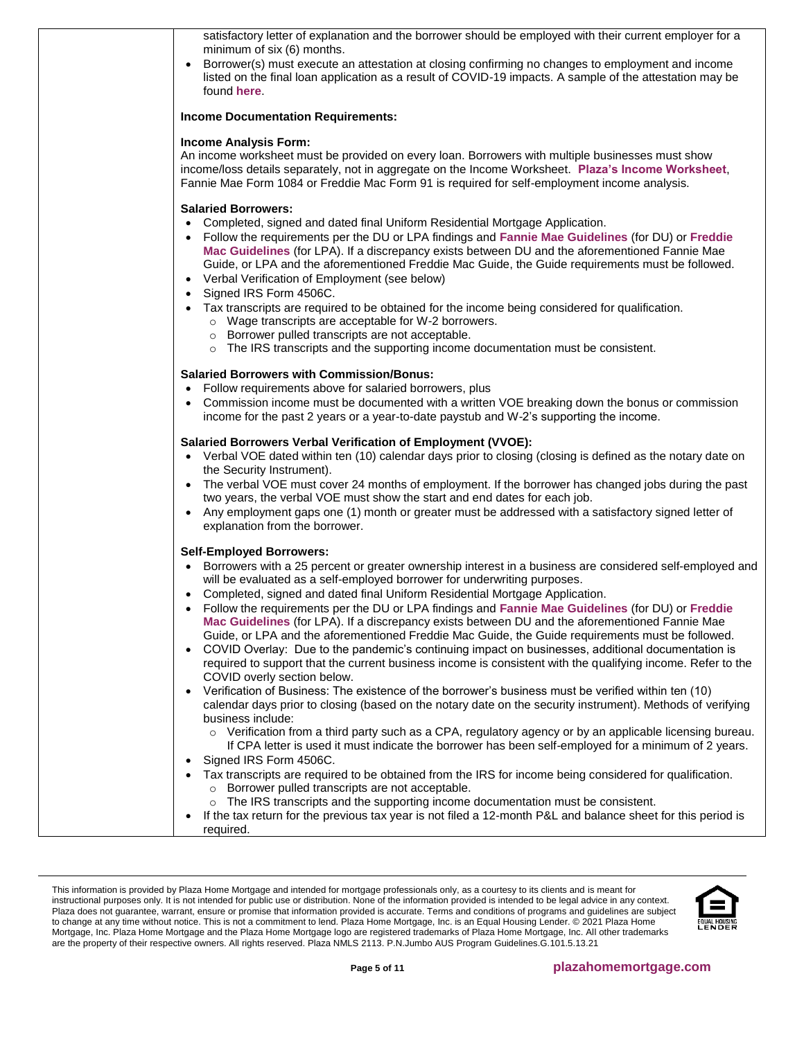| satisfactory letter of explanation and the borrower should be employed with their current employer for a<br>minimum of six (6) months.<br>Borrower(s) must execute an attestation at closing confirming no changes to employment and income<br>listed on the final loan application as a result of COVID-19 impacts. A sample of the attestation may be<br>found here.                                                                                                                                                                                                                                                                                                                                                                                                                                                                                                                                                                                                                                                                                                                                                                                                                                                                                                                                                                                                                                                                                                                                                                                                                                                                                    |
|-----------------------------------------------------------------------------------------------------------------------------------------------------------------------------------------------------------------------------------------------------------------------------------------------------------------------------------------------------------------------------------------------------------------------------------------------------------------------------------------------------------------------------------------------------------------------------------------------------------------------------------------------------------------------------------------------------------------------------------------------------------------------------------------------------------------------------------------------------------------------------------------------------------------------------------------------------------------------------------------------------------------------------------------------------------------------------------------------------------------------------------------------------------------------------------------------------------------------------------------------------------------------------------------------------------------------------------------------------------------------------------------------------------------------------------------------------------------------------------------------------------------------------------------------------------------------------------------------------------------------------------------------------------|
| <b>Income Documentation Requirements:</b>                                                                                                                                                                                                                                                                                                                                                                                                                                                                                                                                                                                                                                                                                                                                                                                                                                                                                                                                                                                                                                                                                                                                                                                                                                                                                                                                                                                                                                                                                                                                                                                                                 |
| <b>Income Analysis Form:</b><br>An income worksheet must be provided on every loan. Borrowers with multiple businesses must show<br>income/loss details separately, not in aggregate on the Income Worksheet. Plaza's Income Worksheet,<br>Fannie Mae Form 1084 or Freddie Mac Form 91 is required for self-employment income analysis.                                                                                                                                                                                                                                                                                                                                                                                                                                                                                                                                                                                                                                                                                                                                                                                                                                                                                                                                                                                                                                                                                                                                                                                                                                                                                                                   |
| <b>Salaried Borrowers:</b><br>Completed, signed and dated final Uniform Residential Mortgage Application.<br>Follow the requirements per the DU or LPA findings and Fannie Mae Guidelines (for DU) or Freddie<br>Mac Guidelines (for LPA). If a discrepancy exists between DU and the aforementioned Fannie Mae<br>Guide, or LPA and the aforementioned Freddie Mac Guide, the Guide requirements must be followed.<br>• Verbal Verification of Employment (see below)<br>Signed IRS Form 4506C.<br>$\bullet$                                                                                                                                                                                                                                                                                                                                                                                                                                                                                                                                                                                                                                                                                                                                                                                                                                                                                                                                                                                                                                                                                                                                             |
| Tax transcripts are required to be obtained for the income being considered for qualification.<br>o Wage transcripts are acceptable for W-2 borrowers.<br>o Borrower pulled transcripts are not acceptable.<br>o The IRS transcripts and the supporting income documentation must be consistent.                                                                                                                                                                                                                                                                                                                                                                                                                                                                                                                                                                                                                                                                                                                                                                                                                                                                                                                                                                                                                                                                                                                                                                                                                                                                                                                                                          |
| <b>Salaried Borrowers with Commission/Bonus:</b><br>Follow requirements above for salaried borrowers, plus<br>$\bullet$<br>Commission income must be documented with a written VOE breaking down the bonus or commission<br>income for the past 2 years or a year-to-date paystub and W-2's supporting the income.                                                                                                                                                                                                                                                                                                                                                                                                                                                                                                                                                                                                                                                                                                                                                                                                                                                                                                                                                                                                                                                                                                                                                                                                                                                                                                                                        |
| <b>Salaried Borrowers Verbal Verification of Employment (VVOE):</b><br>• Verbal VOE dated within ten (10) calendar days prior to closing (closing is defined as the notary date on<br>the Security Instrument).<br>• The verbal VOE must cover 24 months of employment. If the borrower has changed jobs during the past<br>two years, the verbal VOE must show the start and end dates for each job.<br>Any employment gaps one (1) month or greater must be addressed with a satisfactory signed letter of<br>explanation from the borrower.                                                                                                                                                                                                                                                                                                                                                                                                                                                                                                                                                                                                                                                                                                                                                                                                                                                                                                                                                                                                                                                                                                            |
| <b>Self-Employed Borrowers:</b><br>• Borrowers with a 25 percent or greater ownership interest in a business are considered self-employed and<br>will be evaluated as a self-employed borrower for underwriting purposes.<br>Completed, signed and dated final Uniform Residential Mortgage Application.<br>Follow the requirements per the DU or LPA findings and Fannie Mae Guidelines (for DU) or Freddie<br>$\bullet$<br>Mac Guidelines (for LPA). If a discrepancy exists between DU and the aforementioned Fannie Mae<br>Guide, or LPA and the aforementioned Freddie Mac Guide, the Guide requirements must be followed.<br>• COVID Overlay: Due to the pandemic's continuing impact on businesses, additional documentation is<br>required to support that the current business income is consistent with the qualifying income. Refer to the<br>COVID overly section below.<br>Verification of Business: The existence of the borrower's business must be verified within ten (10)<br>$\bullet$<br>calendar days prior to closing (based on the notary date on the security instrument). Methods of verifying<br>business include:<br>o Verification from a third party such as a CPA, regulatory agency or by an applicable licensing bureau.<br>If CPA letter is used it must indicate the borrower has been self-employed for a minimum of 2 years.<br>Signed IRS Form 4506C.<br>$\bullet$<br>Tax transcripts are required to be obtained from the IRS for income being considered for qualification.<br>o Borrower pulled transcripts are not acceptable.<br>The IRS transcripts and the supporting income documentation must be consistent. |
| If the tax return for the previous tax year is not filed a 12-month P&L and balance sheet for this period is<br>$\bullet$<br>required.                                                                                                                                                                                                                                                                                                                                                                                                                                                                                                                                                                                                                                                                                                                                                                                                                                                                                                                                                                                                                                                                                                                                                                                                                                                                                                                                                                                                                                                                                                                    |

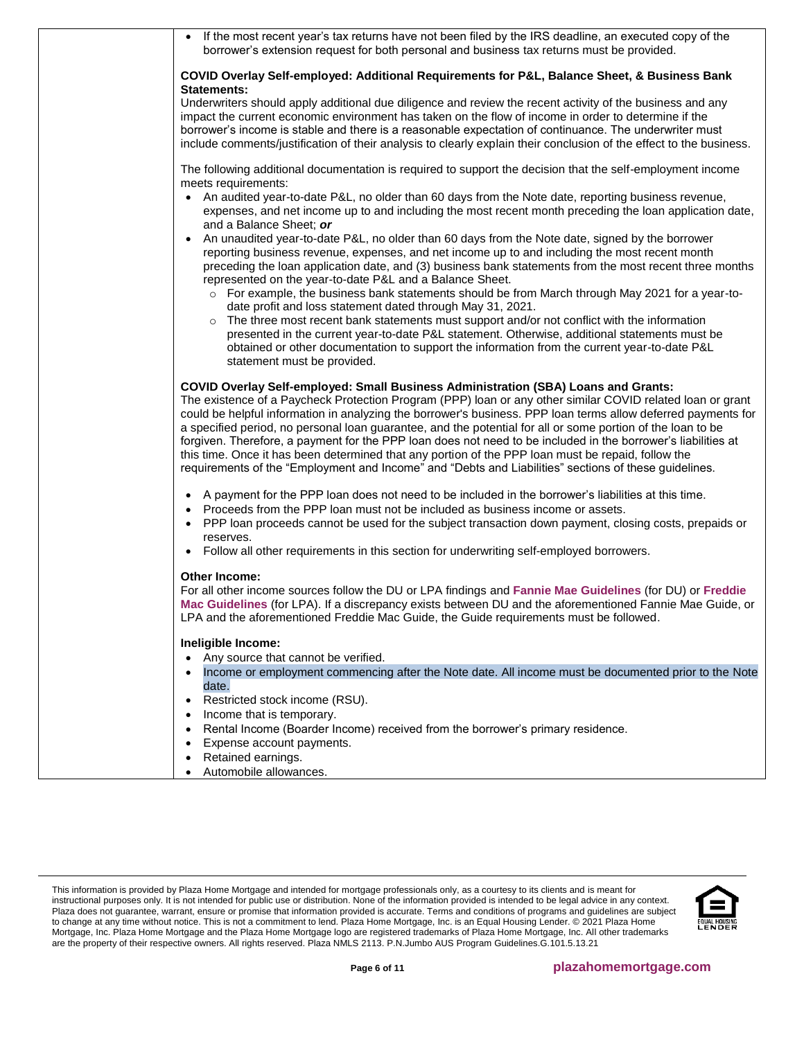| • If the most recent year's tax returns have not been filed by the IRS deadline, an executed copy of the<br>borrower's extension request for both personal and business tax returns must be provided.                                                                                                                                                                                                                                                                                                                                                                                                                                                                                                                                                                   |
|-------------------------------------------------------------------------------------------------------------------------------------------------------------------------------------------------------------------------------------------------------------------------------------------------------------------------------------------------------------------------------------------------------------------------------------------------------------------------------------------------------------------------------------------------------------------------------------------------------------------------------------------------------------------------------------------------------------------------------------------------------------------------|
| COVID Overlay Self-employed: Additional Requirements for P&L, Balance Sheet, & Business Bank<br>Statements:                                                                                                                                                                                                                                                                                                                                                                                                                                                                                                                                                                                                                                                             |
| Underwriters should apply additional due diligence and review the recent activity of the business and any<br>impact the current economic environment has taken on the flow of income in order to determine if the<br>borrower's income is stable and there is a reasonable expectation of continuance. The underwriter must<br>include comments/justification of their analysis to clearly explain their conclusion of the effect to the business.                                                                                                                                                                                                                                                                                                                      |
| The following additional documentation is required to support the decision that the self-employment income<br>meets requirements:<br>• An audited year-to-date P&L, no older than 60 days from the Note date, reporting business revenue,                                                                                                                                                                                                                                                                                                                                                                                                                                                                                                                               |
| expenses, and net income up to and including the most recent month preceding the loan application date,<br>and a Balance Sheet; or                                                                                                                                                                                                                                                                                                                                                                                                                                                                                                                                                                                                                                      |
| • An unaudited year-to-date P&L, no older than 60 days from the Note date, signed by the borrower<br>reporting business revenue, expenses, and net income up to and including the most recent month<br>preceding the loan application date, and (3) business bank statements from the most recent three months<br>represented on the year-to-date P&L and a Balance Sheet.                                                                                                                                                                                                                                                                                                                                                                                              |
| o For example, the business bank statements should be from March through May 2021 for a year-to-<br>date profit and loss statement dated through May 31, 2021.                                                                                                                                                                                                                                                                                                                                                                                                                                                                                                                                                                                                          |
| The three most recent bank statements must support and/or not conflict with the information<br>presented in the current year-to-date P&L statement. Otherwise, additional statements must be<br>obtained or other documentation to support the information from the current year-to-date P&L<br>statement must be provided.                                                                                                                                                                                                                                                                                                                                                                                                                                             |
| <b>COVID Overlay Self-employed: Small Business Administration (SBA) Loans and Grants:</b><br>The existence of a Paycheck Protection Program (PPP) loan or any other similar COVID related loan or grant<br>could be helpful information in analyzing the borrower's business. PPP loan terms allow deferred payments for<br>a specified period, no personal loan guarantee, and the potential for all or some portion of the loan to be<br>forgiven. Therefore, a payment for the PPP loan does not need to be included in the borrower's liabilities at<br>this time. Once it has been determined that any portion of the PPP loan must be repaid, follow the<br>requirements of the "Employment and Income" and "Debts and Liabilities" sections of these guidelines. |
| A payment for the PPP loan does not need to be included in the borrower's liabilities at this time.<br>Proceeds from the PPP loan must not be included as business income or assets.<br>PPP loan proceeds cannot be used for the subject transaction down payment, closing costs, prepaids or<br>reserves.                                                                                                                                                                                                                                                                                                                                                                                                                                                              |
| Follow all other requirements in this section for underwriting self-employed borrowers.                                                                                                                                                                                                                                                                                                                                                                                                                                                                                                                                                                                                                                                                                 |
| Other Income:<br>For all other income sources follow the DU or LPA findings and Fannie Mae Guidelines (for DU) or Freddie<br>Mac Guidelines (for LPA). If a discrepancy exists between DU and the aforementioned Fannie Mae Guide, or<br>LPA and the aforementioned Freddie Mac Guide, the Guide requirements must be followed.                                                                                                                                                                                                                                                                                                                                                                                                                                         |
| Ineligible Income:<br>Any source that cannot be verified.                                                                                                                                                                                                                                                                                                                                                                                                                                                                                                                                                                                                                                                                                                               |
| Income or employment commencing after the Note date. All income must be documented prior to the Note<br>date.                                                                                                                                                                                                                                                                                                                                                                                                                                                                                                                                                                                                                                                           |
| Restricted stock income (RSU).<br>Income that is temporary.                                                                                                                                                                                                                                                                                                                                                                                                                                                                                                                                                                                                                                                                                                             |
| Rental Income (Boarder Income) received from the borrower's primary residence.                                                                                                                                                                                                                                                                                                                                                                                                                                                                                                                                                                                                                                                                                          |
| Expense account payments.<br>Retained earnings.<br>$\bullet$                                                                                                                                                                                                                                                                                                                                                                                                                                                                                                                                                                                                                                                                                                            |
| Automobile allowances.                                                                                                                                                                                                                                                                                                                                                                                                                                                                                                                                                                                                                                                                                                                                                  |

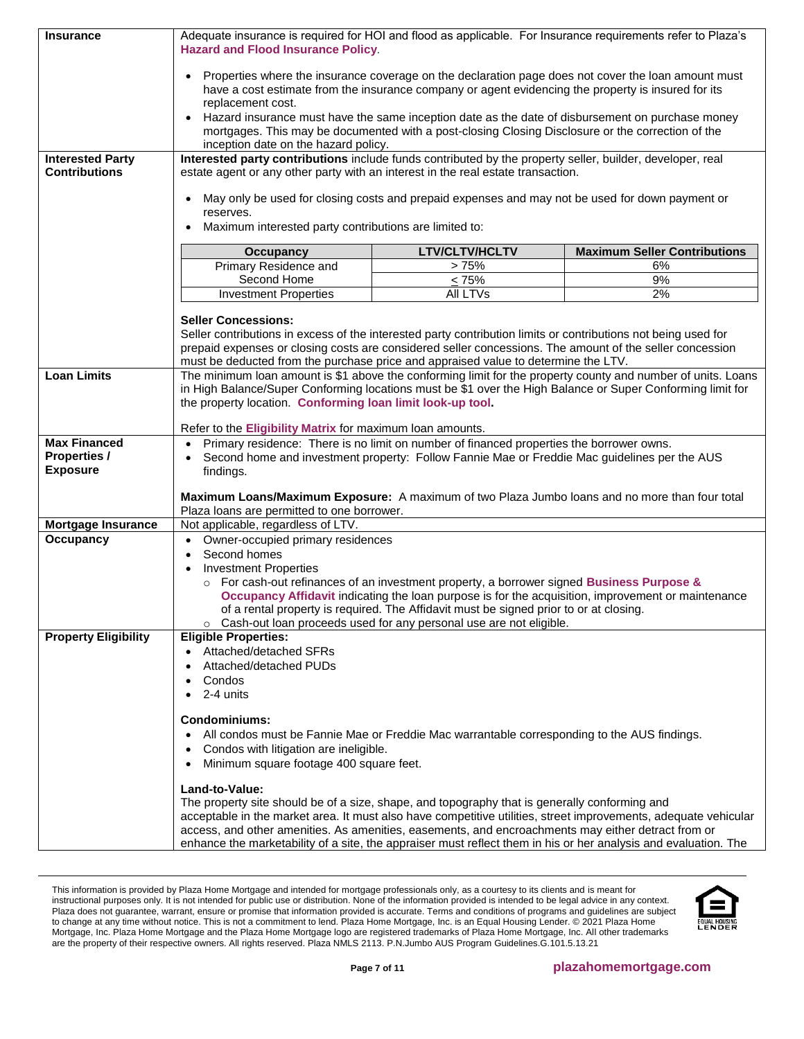| <b>Insurance</b>            | Adequate insurance is required for HOI and flood as applicable. For Insurance requirements refer to Plaza's<br><b>Hazard and Flood Insurance Policy.</b>                                                                                     |                                                                                                                                                                                                       |                                                                                                                 |  |
|-----------------------------|----------------------------------------------------------------------------------------------------------------------------------------------------------------------------------------------------------------------------------------------|-------------------------------------------------------------------------------------------------------------------------------------------------------------------------------------------------------|-----------------------------------------------------------------------------------------------------------------|--|
|                             | Properties where the insurance coverage on the declaration page does not cover the loan amount must<br>$\bullet$<br>have a cost estimate from the insurance company or agent evidencing the property is insured for its<br>replacement cost. |                                                                                                                                                                                                       |                                                                                                                 |  |
|                             | inception date on the hazard policy.                                                                                                                                                                                                         | Hazard insurance must have the same inception date as the date of disbursement on purchase money<br>mortgages. This may be documented with a post-closing Closing Disclosure or the correction of the |                                                                                                                 |  |
| <b>Interested Party</b>     | Interested party contributions include funds contributed by the property seller, builder, developer, real                                                                                                                                    |                                                                                                                                                                                                       |                                                                                                                 |  |
| <b>Contributions</b>        | estate agent or any other party with an interest in the real estate transaction.                                                                                                                                                             |                                                                                                                                                                                                       |                                                                                                                 |  |
|                             |                                                                                                                                                                                                                                              |                                                                                                                                                                                                       |                                                                                                                 |  |
|                             | $\bullet$<br>reserves.                                                                                                                                                                                                                       | May only be used for closing costs and prepaid expenses and may not be used for down payment or                                                                                                       |                                                                                                                 |  |
|                             | Maximum interested party contributions are limited to:                                                                                                                                                                                       |                                                                                                                                                                                                       |                                                                                                                 |  |
|                             | <b>Occupancy</b>                                                                                                                                                                                                                             | <b>LTV/CLTV/HCLTV</b>                                                                                                                                                                                 | <b>Maximum Seller Contributions</b>                                                                             |  |
|                             | Primary Residence and                                                                                                                                                                                                                        | >75%                                                                                                                                                                                                  | 6%                                                                                                              |  |
|                             | Second Home                                                                                                                                                                                                                                  | $\leq 75\%$                                                                                                                                                                                           | 9%                                                                                                              |  |
|                             | <b>Investment Properties</b>                                                                                                                                                                                                                 | All LTVs                                                                                                                                                                                              | 2%                                                                                                              |  |
|                             | <b>Seller Concessions:</b>                                                                                                                                                                                                                   |                                                                                                                                                                                                       |                                                                                                                 |  |
|                             | Seller contributions in excess of the interested party contribution limits or contributions not being used for                                                                                                                               |                                                                                                                                                                                                       |                                                                                                                 |  |
|                             | prepaid expenses or closing costs are considered seller concessions. The amount of the seller concession                                                                                                                                     |                                                                                                                                                                                                       |                                                                                                                 |  |
|                             | must be deducted from the purchase price and appraised value to determine the LTV.                                                                                                                                                           |                                                                                                                                                                                                       |                                                                                                                 |  |
| <b>Loan Limits</b>          |                                                                                                                                                                                                                                              |                                                                                                                                                                                                       | The minimum loan amount is \$1 above the conforming limit for the property county and number of units. Loans    |  |
|                             | in High Balance/Super Conforming locations must be \$1 over the High Balance or Super Conforming limit for<br>the property location. Conforming loan limit look-up tool.                                                                     |                                                                                                                                                                                                       |                                                                                                                 |  |
|                             |                                                                                                                                                                                                                                              |                                                                                                                                                                                                       |                                                                                                                 |  |
|                             | Refer to the Eligibility Matrix for maximum loan amounts.                                                                                                                                                                                    |                                                                                                                                                                                                       |                                                                                                                 |  |
| <b>Max Financed</b>         | $\bullet$                                                                                                                                                                                                                                    | Primary residence: There is no limit on number of financed properties the borrower owns.                                                                                                              |                                                                                                                 |  |
| <b>Properties /</b>         | $\bullet$                                                                                                                                                                                                                                    | Second home and investment property: Follow Fannie Mae or Freddie Mac guidelines per the AUS                                                                                                          |                                                                                                                 |  |
| <b>Exposure</b>             | findings.                                                                                                                                                                                                                                    |                                                                                                                                                                                                       |                                                                                                                 |  |
|                             | Maximum Loans/Maximum Exposure: A maximum of two Plaza Jumbo loans and no more than four total                                                                                                                                               |                                                                                                                                                                                                       |                                                                                                                 |  |
|                             | Plaza loans are permitted to one borrower.                                                                                                                                                                                                   |                                                                                                                                                                                                       |                                                                                                                 |  |
| Mortgage Insurance          | Not applicable, regardless of LTV.                                                                                                                                                                                                           |                                                                                                                                                                                                       |                                                                                                                 |  |
| Occupancy                   | Owner-occupied primary residences<br>$\bullet$                                                                                                                                                                                               |                                                                                                                                                                                                       |                                                                                                                 |  |
|                             | Second homes<br>$\bullet$                                                                                                                                                                                                                    |                                                                                                                                                                                                       |                                                                                                                 |  |
|                             | <b>Investment Properties</b><br>$\bullet$                                                                                                                                                                                                    |                                                                                                                                                                                                       |                                                                                                                 |  |
|                             |                                                                                                                                                                                                                                              | For cash-out refinances of an investment property, a borrower signed Business Purpose &                                                                                                               | Occupancy Affidavit indicating the loan purpose is for the acquisition, improvement or maintenance              |  |
|                             |                                                                                                                                                                                                                                              | of a rental property is required. The Affidavit must be signed prior to or at closing.                                                                                                                |                                                                                                                 |  |
|                             |                                                                                                                                                                                                                                              | $\circ$ Cash-out loan proceeds used for any personal use are not eligible.                                                                                                                            |                                                                                                                 |  |
| <b>Property Eligibility</b> | <b>Eligible Properties:</b>                                                                                                                                                                                                                  |                                                                                                                                                                                                       |                                                                                                                 |  |
|                             | Attached/detached SFRs                                                                                                                                                                                                                       |                                                                                                                                                                                                       |                                                                                                                 |  |
|                             | Attached/detached PUDs<br>$\bullet$                                                                                                                                                                                                          |                                                                                                                                                                                                       |                                                                                                                 |  |
|                             | Condos<br>$\bullet$<br>2-4 units                                                                                                                                                                                                             |                                                                                                                                                                                                       |                                                                                                                 |  |
|                             |                                                                                                                                                                                                                                              |                                                                                                                                                                                                       |                                                                                                                 |  |
|                             | <b>Condominiums:</b>                                                                                                                                                                                                                         |                                                                                                                                                                                                       |                                                                                                                 |  |
|                             |                                                                                                                                                                                                                                              | All condos must be Fannie Mae or Freddie Mac warrantable corresponding to the AUS findings.                                                                                                           |                                                                                                                 |  |
|                             | Condos with litigation are ineligible.<br>$\bullet$                                                                                                                                                                                          |                                                                                                                                                                                                       |                                                                                                                 |  |
|                             | Minimum square footage 400 square feet.                                                                                                                                                                                                      |                                                                                                                                                                                                       |                                                                                                                 |  |
|                             | Land-to-Value:                                                                                                                                                                                                                               |                                                                                                                                                                                                       |                                                                                                                 |  |
|                             | The property site should be of a size, shape, and topography that is generally conforming and                                                                                                                                                |                                                                                                                                                                                                       |                                                                                                                 |  |
|                             |                                                                                                                                                                                                                                              |                                                                                                                                                                                                       | acceptable in the market area. It must also have competitive utilities, street improvements, adequate vehicular |  |
|                             | access, and other amenities. As amenities, easements, and encroachments may either detract from or<br>enhance the marketability of a site, the appraiser must reflect them in his or her analysis and evaluation. The                        |                                                                                                                                                                                                       |                                                                                                                 |  |

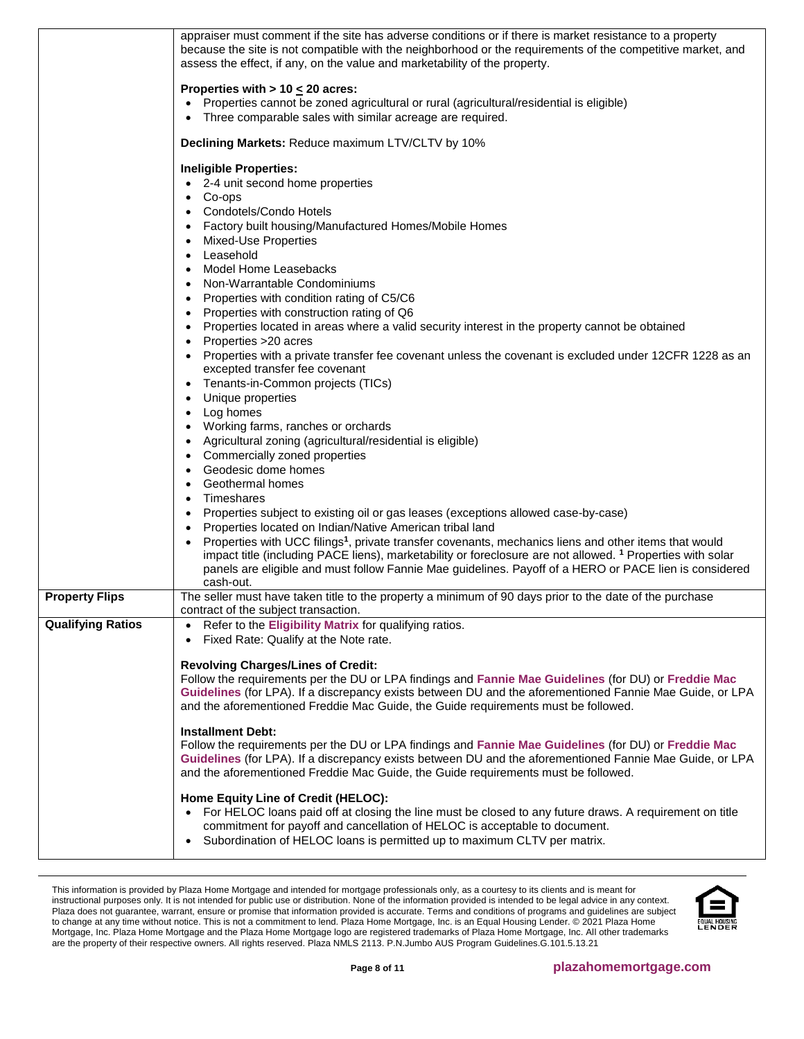|                          | appraiser must comment if the site has adverse conditions or if there is market resistance to a property<br>because the site is not compatible with the neighborhood or the requirements of the competitive market, and<br>assess the effect, if any, on the value and marketability of the property.                                                                                                                                                                                                                                                                                                                                                                                                                                                                                                                                                                                                                                                                           |
|--------------------------|---------------------------------------------------------------------------------------------------------------------------------------------------------------------------------------------------------------------------------------------------------------------------------------------------------------------------------------------------------------------------------------------------------------------------------------------------------------------------------------------------------------------------------------------------------------------------------------------------------------------------------------------------------------------------------------------------------------------------------------------------------------------------------------------------------------------------------------------------------------------------------------------------------------------------------------------------------------------------------|
|                          | Properties with $> 10 \le 20$ acres:<br>Properties cannot be zoned agricultural or rural (agricultural/residential is eligible)<br>$\bullet$<br>Three comparable sales with similar acreage are required.                                                                                                                                                                                                                                                                                                                                                                                                                                                                                                                                                                                                                                                                                                                                                                       |
|                          | Declining Markets: Reduce maximum LTV/CLTV by 10%                                                                                                                                                                                                                                                                                                                                                                                                                                                                                                                                                                                                                                                                                                                                                                                                                                                                                                                               |
|                          | <b>Ineligible Properties:</b><br>• 2-4 unit second home properties<br>Co-ops<br>$\bullet$<br>Condotels/Condo Hotels<br>$\bullet$<br>Factory built housing/Manufactured Homes/Mobile Homes<br>Mixed-Use Properties<br>Leasehold<br>Model Home Leasebacks<br>Non-Warrantable Condominiums<br>$\bullet$<br>Properties with condition rating of C5/C6<br>$\bullet$<br>Properties with construction rating of Q6<br>Properties located in areas where a valid security interest in the property cannot be obtained<br>Properties >20 acres<br>Properties with a private transfer fee covenant unless the covenant is excluded under 12CFR 1228 as an<br>$\bullet$<br>excepted transfer fee covenant<br>Tenants-in-Common projects (TICs)<br>Unique properties<br>Log homes<br>Working farms, ranches or orchards<br>Agricultural zoning (agricultural/residential is eligible)<br>$\bullet$<br>Commercially zoned properties<br>$\bullet$<br>Geodesic dome homes<br>Geothermal homes |
|                          | Timeshares<br>$\bullet$<br>Properties subject to existing oil or gas leases (exceptions allowed case-by-case)<br>٠                                                                                                                                                                                                                                                                                                                                                                                                                                                                                                                                                                                                                                                                                                                                                                                                                                                              |
|                          | Properties located on Indian/Native American tribal land<br>Properties with UCC filings <sup>1</sup> , private transfer covenants, mechanics liens and other items that would<br>impact title (including PACE liens), marketability or foreclosure are not allowed. <sup>1</sup> Properties with solar<br>panels are eligible and must follow Fannie Mae guidelines. Payoff of a HERO or PACE lien is considered<br>cash-out.                                                                                                                                                                                                                                                                                                                                                                                                                                                                                                                                                   |
| <b>Property Flips</b>    | The seller must have taken title to the property a minimum of 90 days prior to the date of the purchase<br>contract of the subject transaction.                                                                                                                                                                                                                                                                                                                                                                                                                                                                                                                                                                                                                                                                                                                                                                                                                                 |
| <b>Qualifying Ratios</b> | Refer to the Eligibility Matrix for qualifying ratios.<br>Fixed Rate: Qualify at the Note rate.                                                                                                                                                                                                                                                                                                                                                                                                                                                                                                                                                                                                                                                                                                                                                                                                                                                                                 |
|                          | <b>Revolving Charges/Lines of Credit:</b><br>Follow the requirements per the DU or LPA findings and Fannie Mae Guidelines (for DU) or Freddie Mac<br>Guidelines (for LPA). If a discrepancy exists between DU and the aforementioned Fannie Mae Guide, or LPA<br>and the aforementioned Freddie Mac Guide, the Guide requirements must be followed.                                                                                                                                                                                                                                                                                                                                                                                                                                                                                                                                                                                                                             |
|                          | <b>Installment Debt:</b><br>Follow the requirements per the DU or LPA findings and Fannie Mae Guidelines (for DU) or Freddie Mac<br>Guidelines (for LPA). If a discrepancy exists between DU and the aforementioned Fannie Mae Guide, or LPA<br>and the aforementioned Freddie Mac Guide, the Guide requirements must be followed.                                                                                                                                                                                                                                                                                                                                                                                                                                                                                                                                                                                                                                              |
|                          | Home Equity Line of Credit (HELOC):<br>• For HELOC loans paid off at closing the line must be closed to any future draws. A requirement on title<br>commitment for payoff and cancellation of HELOC is acceptable to document.<br>Subordination of HELOC loans is permitted up to maximum CLTV per matrix.<br>$\bullet$                                                                                                                                                                                                                                                                                                                                                                                                                                                                                                                                                                                                                                                         |

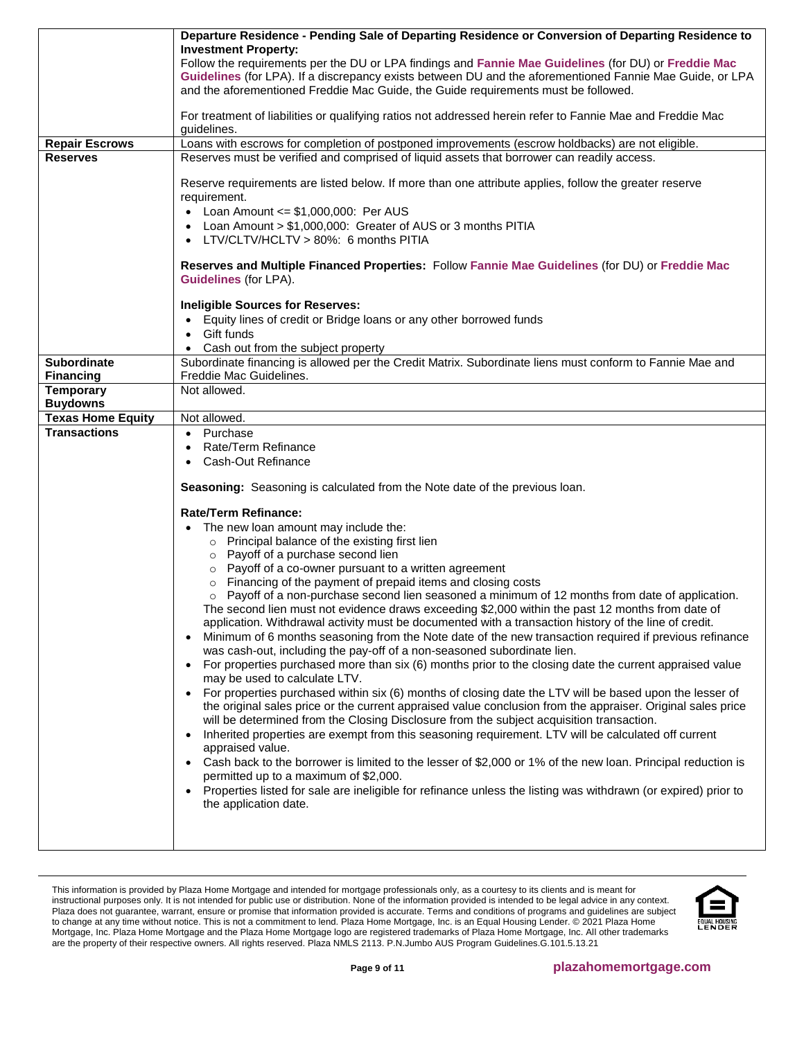|                                      | Departure Residence - Pending Sale of Departing Residence or Conversion of Departing Residence to                                                                                                                |
|--------------------------------------|------------------------------------------------------------------------------------------------------------------------------------------------------------------------------------------------------------------|
|                                      | <b>Investment Property:</b>                                                                                                                                                                                      |
|                                      | Follow the requirements per the DU or LPA findings and Fannie Mae Guidelines (for DU) or Freddie Mac<br>Guidelines (for LPA). If a discrepancy exists between DU and the aforementioned Fannie Mae Guide, or LPA |
|                                      | and the aforementioned Freddie Mac Guide, the Guide requirements must be followed.                                                                                                                               |
|                                      |                                                                                                                                                                                                                  |
|                                      | For treatment of liabilities or qualifying ratios not addressed herein refer to Fannie Mae and Freddie Mac<br>guidelines.                                                                                        |
| <b>Repair Escrows</b>                | Loans with escrows for completion of postponed improvements (escrow holdbacks) are not eligible.                                                                                                                 |
| <b>Reserves</b>                      | Reserves must be verified and comprised of liquid assets that borrower can readily access.                                                                                                                       |
|                                      | Reserve requirements are listed below. If more than one attribute applies, follow the greater reserve<br>requirement.                                                                                            |
|                                      | • Loan Amount $\leq$ \$1,000,000: Per AUS                                                                                                                                                                        |
|                                      | Loan Amount > \$1,000,000: Greater of AUS or 3 months PITIA<br>$\bullet$                                                                                                                                         |
|                                      | LTV/CLTV/HCLTV > 80%: 6 months PITIA                                                                                                                                                                             |
|                                      | Reserves and Multiple Financed Properties: Follow Fannie Mae Guidelines (for DU) or Freddie Mac<br><b>Guidelines (for LPA).</b>                                                                                  |
|                                      | <b>Ineligible Sources for Reserves:</b>                                                                                                                                                                          |
|                                      | • Equity lines of credit or Bridge loans or any other borrowed funds                                                                                                                                             |
|                                      | Gift funds                                                                                                                                                                                                       |
|                                      | Cash out from the subject property                                                                                                                                                                               |
| <b>Subordinate</b>                   | Subordinate financing is allowed per the Credit Matrix. Subordinate liens must conform to Fannie Mae and                                                                                                         |
| <b>Financing</b><br><b>Temporary</b> | Freddie Mac Guidelines.<br>Not allowed.                                                                                                                                                                          |
| <b>Buydowns</b>                      |                                                                                                                                                                                                                  |
| <b>Texas Home Equity</b>             | Not allowed.                                                                                                                                                                                                     |
| <b>Transactions</b>                  | • Purchase                                                                                                                                                                                                       |
|                                      | Rate/Term Refinance<br>$\bullet$                                                                                                                                                                                 |
|                                      | Cash-Out Refinance                                                                                                                                                                                               |
|                                      | Seasoning: Seasoning is calculated from the Note date of the previous loan.                                                                                                                                      |
|                                      | <b>Rate/Term Refinance:</b>                                                                                                                                                                                      |
|                                      | The new loan amount may include the:                                                                                                                                                                             |
|                                      | o Principal balance of the existing first lien                                                                                                                                                                   |
|                                      | o Payoff of a purchase second lien                                                                                                                                                                               |
|                                      | o Payoff of a co-owner pursuant to a written agreement                                                                                                                                                           |
|                                      | o Financing of the payment of prepaid items and closing costs<br>$\circ$ Payoff of a non-purchase second lien seasoned a minimum of 12 months from date of application.                                          |
|                                      | The second lien must not evidence draws exceeding \$2,000 within the past 12 months from date of                                                                                                                 |
|                                      | application. Withdrawal activity must be documented with a transaction history of the line of credit.                                                                                                            |
|                                      | Minimum of 6 months seasoning from the Note date of the new transaction required if previous refinance                                                                                                           |
|                                      | was cash-out, including the pay-off of a non-seasoned subordinate lien.                                                                                                                                          |
|                                      | For properties purchased more than six (6) months prior to the closing date the current appraised value<br>$\bullet$                                                                                             |
|                                      | may be used to calculate LTV.<br>For properties purchased within six (6) months of closing date the LTV will be based upon the lesser of                                                                         |
|                                      | the original sales price or the current appraised value conclusion from the appraiser. Original sales price                                                                                                      |
|                                      | will be determined from the Closing Disclosure from the subject acquisition transaction.                                                                                                                         |
|                                      | Inherited properties are exempt from this seasoning requirement. LTV will be calculated off current<br>$\bullet$                                                                                                 |
|                                      | appraised value.                                                                                                                                                                                                 |
|                                      | Cash back to the borrower is limited to the lesser of \$2,000 or 1% of the new loan. Principal reduction is                                                                                                      |
|                                      | permitted up to a maximum of \$2,000.<br>Properties listed for sale are ineligible for refinance unless the listing was withdrawn (or expired) prior to                                                          |
|                                      | the application date.                                                                                                                                                                                            |
|                                      |                                                                                                                                                                                                                  |
|                                      |                                                                                                                                                                                                                  |
|                                      |                                                                                                                                                                                                                  |

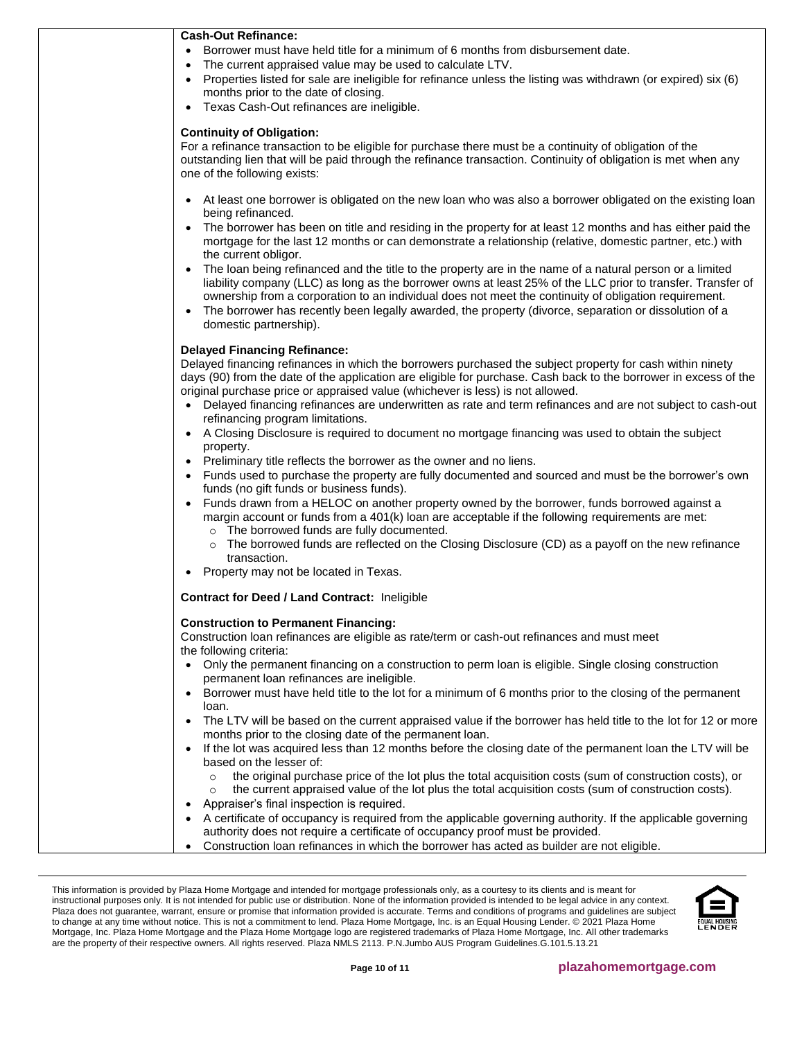| <b>Cash-Out Refinance:</b>                                                                                                         |
|------------------------------------------------------------------------------------------------------------------------------------|
| • Borrower must have held title for a minimum of 6 months from disbursement date.                                                  |
| The current appraised value may be used to calculate LTV.                                                                          |
| Properties listed for sale are ineligible for refinance unless the listing was withdrawn (or expired) six (6)                      |
| months prior to the date of closing.                                                                                               |
| Texas Cash-Out refinances are ineligible.                                                                                          |
| <b>Continuity of Obligation:</b>                                                                                                   |
| For a refinance transaction to be eligible for purchase there must be a continuity of obligation of the                            |
| outstanding lien that will be paid through the refinance transaction. Continuity of obligation is met when any                     |
| one of the following exists:                                                                                                       |
| • At least one borrower is obligated on the new loan who was also a borrower obligated on the existing loan                        |
| being refinanced.                                                                                                                  |
| The borrower has been on title and residing in the property for at least 12 months and has either paid the                         |
| mortgage for the last 12 months or can demonstrate a relationship (relative, domestic partner, etc.) with                          |
| the current obligor.                                                                                                               |
| The loan being refinanced and the title to the property are in the name of a natural person or a limited                           |
| liability company (LLC) as long as the borrower owns at least 25% of the LLC prior to transfer. Transfer of                        |
| ownership from a corporation to an individual does not meet the continuity of obligation requirement.                              |
| The borrower has recently been legally awarded, the property (divorce, separation or dissolution of a<br>$\bullet$                 |
| domestic partnership).                                                                                                             |
| <b>Delayed Financing Refinance:</b>                                                                                                |
| Delayed financing refinances in which the borrowers purchased the subject property for cash within ninety                          |
| days (90) from the date of the application are eligible for purchase. Cash back to the borrower in excess of the                   |
| original purchase price or appraised value (whichever is less) is not allowed.                                                     |
| Delayed financing refinances are underwritten as rate and term refinances and are not subject to cash-out<br>$\bullet$             |
| refinancing program limitations.                                                                                                   |
| • A Closing Disclosure is required to document no mortgage financing was used to obtain the subject                                |
| property.<br>• Preliminary title reflects the borrower as the owner and no liens.                                                  |
| Funds used to purchase the property are fully documented and sourced and must be the borrower's own                                |
| funds (no gift funds or business funds).                                                                                           |
| Funds drawn from a HELOC on another property owned by the borrower, funds borrowed against a                                       |
| margin account or funds from a 401(k) loan are acceptable if the following requirements are met:                                   |
| o The borrowed funds are fully documented.                                                                                         |
| The borrowed funds are reflected on the Closing Disclosure (CD) as a payoff on the new refinance                                   |
| transaction.                                                                                                                       |
| Property may not be located in Texas.                                                                                              |
| <b>Contract for Deed / Land Contract: Ineligible</b>                                                                               |
| <b>Construction to Permanent Financing:</b>                                                                                        |
| Construction loan refinances are eligible as rate/term or cash-out refinances and must meet                                        |
| the following criteria:                                                                                                            |
| Only the permanent financing on a construction to perm loan is eligible. Single closing construction<br>$\bullet$                  |
| permanent loan refinances are ineligible.                                                                                          |
| Borrower must have held title to the lot for a minimum of 6 months prior to the closing of the permanent                           |
| loan.                                                                                                                              |
| The LTV will be based on the current appraised value if the borrower has held title to the lot for 12 or more<br>$\bullet$         |
| months prior to the closing date of the permanent loan.                                                                            |
| If the lot was acquired less than 12 months before the closing date of the permanent loan the LTV will be                          |
| based on the lesser of:<br>the original purchase price of the lot plus the total acquisition costs (sum of construction costs), or |
| $\circ$<br>the current appraised value of the lot plus the total acquisition costs (sum of construction costs).<br>$\circ$         |
| Appraiser's final inspection is required.                                                                                          |
| A certificate of occupancy is required from the applicable governing authority. If the applicable governing                        |
| authority does not require a certificate of occupancy proof must be provided.                                                      |
| Construction loan refinances in which the borrower has acted as builder are not eligible.<br>$\bullet$                             |
|                                                                                                                                    |